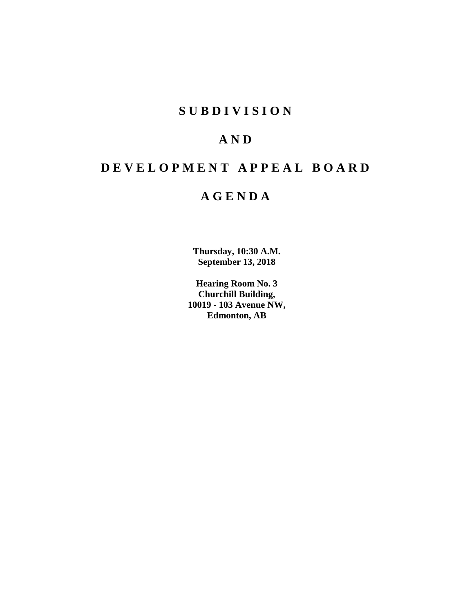# **S U B D I V I S I O N**

# **A N D**

# **D E V E L O P M E N T A P P E A L B O A R D**

# **A G E N D A**

**Thursday, 10:30 A.M. September 13, 2018**

**Hearing Room No. 3 Churchill Building, 10019 - 103 Avenue NW, Edmonton, AB**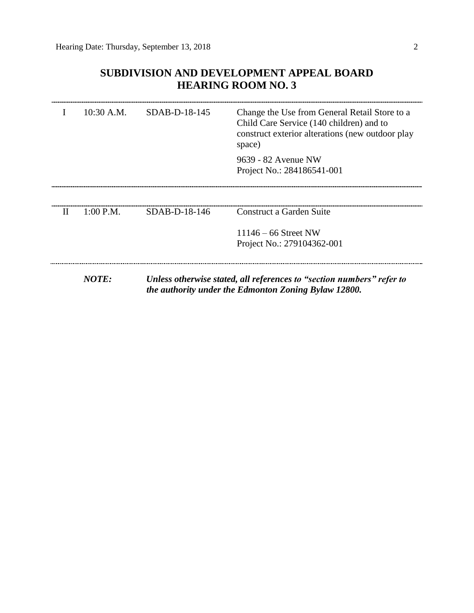# **SUBDIVISION AND DEVELOPMENT APPEAL BOARD HEARING ROOM NO. 3**

|              | 10:30 A.M.   | $SDAB-D-18-145$ | Change the Use from General Retail Store to a<br>Child Care Service (140 children) and to<br>construct exterior alterations (new outdoor play<br>space) |
|--------------|--------------|-----------------|---------------------------------------------------------------------------------------------------------------------------------------------------------|
|              |              |                 | 9639 - 82 Avenue NW<br>Project No.: 284186541-001                                                                                                       |
| $\mathbf{H}$ | 1:00 P.M.    | SDAB-D-18-146   | Construct a Garden Suite                                                                                                                                |
|              |              |                 | $11146 - 66$ Street NW<br>Project No.: 279104362-001                                                                                                    |
|              | <b>NOTE:</b> |                 | Unless otherwise stated, all references to "section numbers" refer to<br>the authority under the Edmonton Zoning Bylaw 12800.                           |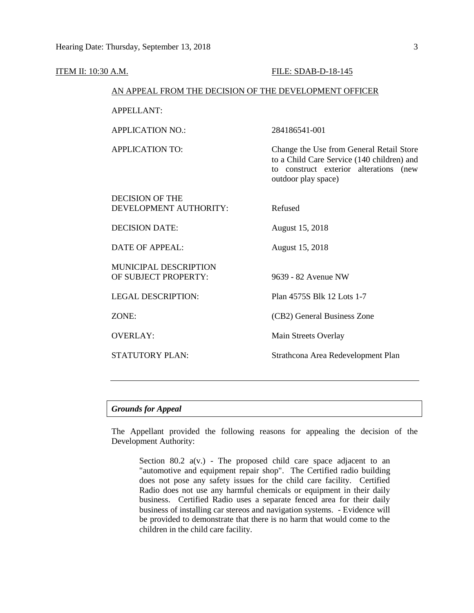| <b>ITEM II: 10:30 A.M.</b> |                                                        | FILE: SDAB-D-18-145                                                                                                                                     |  |  |  |  |
|----------------------------|--------------------------------------------------------|---------------------------------------------------------------------------------------------------------------------------------------------------------|--|--|--|--|
|                            | AN APPEAL FROM THE DECISION OF THE DEVELOPMENT OFFICER |                                                                                                                                                         |  |  |  |  |
|                            | <b>APPELLANT:</b>                                      |                                                                                                                                                         |  |  |  |  |
|                            | <b>APPLICATION NO.:</b>                                | 284186541-001                                                                                                                                           |  |  |  |  |
|                            | <b>APPLICATION TO:</b>                                 | Change the Use from General Retail Store<br>to a Child Care Service (140 children) and<br>to construct exterior alterations (new<br>outdoor play space) |  |  |  |  |
|                            | <b>DECISION OF THE</b><br>DEVELOPMENT AUTHORITY:       | Refused                                                                                                                                                 |  |  |  |  |
|                            | <b>DECISION DATE:</b>                                  | August 15, 2018                                                                                                                                         |  |  |  |  |
|                            | <b>DATE OF APPEAL:</b>                                 | August 15, 2018                                                                                                                                         |  |  |  |  |
|                            | MUNICIPAL DESCRIPTION<br>OF SUBJECT PROPERTY:          | 9639 - 82 Avenue NW                                                                                                                                     |  |  |  |  |
|                            | <b>LEGAL DESCRIPTION:</b>                              | Plan 4575S Blk 12 Lots 1-7                                                                                                                              |  |  |  |  |
|                            | ZONE:                                                  | (CB2) General Business Zone                                                                                                                             |  |  |  |  |
|                            | <b>OVERLAY:</b>                                        | Main Streets Overlay                                                                                                                                    |  |  |  |  |
|                            | <b>STATUTORY PLAN:</b>                                 | Strathcona Area Redevelopment Plan                                                                                                                      |  |  |  |  |
|                            |                                                        |                                                                                                                                                         |  |  |  |  |

# *Grounds for Appeal*

The Appellant provided the following reasons for appealing the decision of the Development Authority:

Section 80.2  $a(v)$  - The proposed child care space adjacent to an "automotive and equipment repair shop". The Certified radio building does not pose any safety issues for the child care facility. Certified Radio does not use any harmful chemicals or equipment in their daily business. Certified Radio uses a separate fenced area for their daily business of installing car stereos and navigation systems. - Evidence will be provided to demonstrate that there is no harm that would come to the children in the child care facility.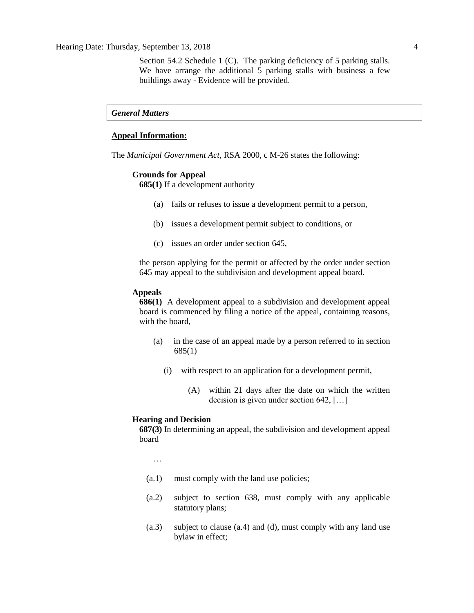Hearing Date: Thursday, September 13, 2018 4

Section 54.2 Schedule 1 (C). The parking deficiency of 5 parking stalls. We have arrange the additional 5 parking stalls with business a few buildings away - Evidence will be provided.

### *General Matters*

# **Appeal Information:**

The *Municipal Government Act*, RSA 2000, c M-26 states the following:

### **Grounds for Appeal**

**685(1)** If a development authority

- (a) fails or refuses to issue a development permit to a person,
- (b) issues a development permit subject to conditions, or
- (c) issues an order under section 645,

the person applying for the permit or affected by the order under section 645 may appeal to the subdivision and development appeal board.

### **Appeals**

**686(1)** A development appeal to a subdivision and development appeal board is commenced by filing a notice of the appeal, containing reasons, with the board,

- (a) in the case of an appeal made by a person referred to in section 685(1)
	- (i) with respect to an application for a development permit,
		- (A) within 21 days after the date on which the written decision is given under section 642, […]

#### **Hearing and Decision**

**687(3)** In determining an appeal, the subdivision and development appeal board

…

- (a.1) must comply with the land use policies;
- (a.2) subject to section 638, must comply with any applicable statutory plans;
- (a.3) subject to clause (a.4) and (d), must comply with any land use bylaw in effect;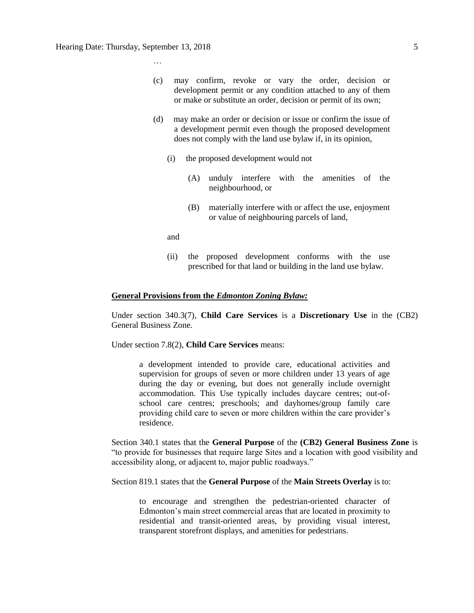…

- (c) may confirm, revoke or vary the order, decision or development permit or any condition attached to any of them or make or substitute an order, decision or permit of its own;
- (d) may make an order or decision or issue or confirm the issue of a development permit even though the proposed development does not comply with the land use bylaw if, in its opinion,
	- (i) the proposed development would not
		- (A) unduly interfere with the amenities of the neighbourhood, or
		- (B) materially interfere with or affect the use, enjoyment or value of neighbouring parcels of land,

and

(ii) the proposed development conforms with the use prescribed for that land or building in the land use bylaw.

### **General Provisions from the** *Edmonton Zoning Bylaw:*

Under section 340.3(7), **Child Care Services** is a **Discretionary Use** in the (CB2) General Business Zone.

Under section 7.8(2), **Child Care Services** means:

a development intended to provide care, educational activities and supervision for groups of seven or more children under 13 years of age during the day or evening, but does not generally include overnight accommodation. This Use typically includes daycare centres; out-ofschool care centres; preschools; and dayhomes/group family care providing child care to seven or more children within the care provider's residence.

Section 340.1 states that the **General Purpose** of the **(CB2) General Business Zone** is "to provide for businesses that require large Sites and a location with good visibility and accessibility along, or adjacent to, major public roadways."

Section 819.1 states that the **General Purpose** of the **Main Streets Overlay** is to:

to encourage and strengthen the pedestrian-oriented character of Edmonton's main street commercial areas that are located in proximity to residential and transit-oriented areas, by providing visual interest, transparent storefront displays, and amenities for pedestrians.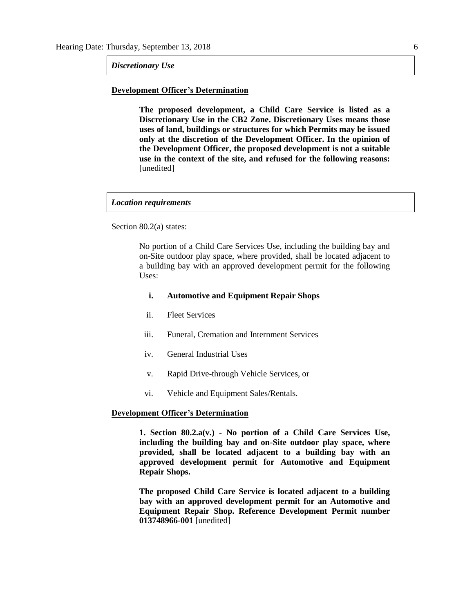### *Discretionary Use*

### **Development Officer's Determination**

**The proposed development, a Child Care Service is listed as a Discretionary Use in the CB2 Zone. Discretionary Uses means those uses of land, buildings or structures for which Permits may be issued only at the discretion of the Development Officer. In the opinion of the Development Officer, the proposed development is not a suitable use in the context of the site, and refused for the following reasons:**  [unedited]

### *Location requirements*

Section 80.2(a) states:

No portion of a Child Care Services Use, including the building bay and on-Site outdoor play space, where provided, shall be located adjacent to a building bay with an approved development permit for the following Uses:

## **i. Automotive and Equipment Repair Shops**

- ii. Fleet Services
- iii. Funeral, Cremation and Internment Services
- iv. General Industrial Uses
- v. Rapid Drive-through Vehicle Services, or
- vi. Vehicle and Equipment Sales/Rentals.

### **Development Officer's Determination**

**1. Section 80.2.a(v.) - No portion of a Child Care Services Use, including the building bay and on-Site outdoor play space, where provided, shall be located adjacent to a building bay with an approved development permit for Automotive and Equipment Repair Shops.**

**The proposed Child Care Service is located adjacent to a building bay with an approved development permit for an Automotive and Equipment Repair Shop. Reference Development Permit number 013748966-001** [unedited]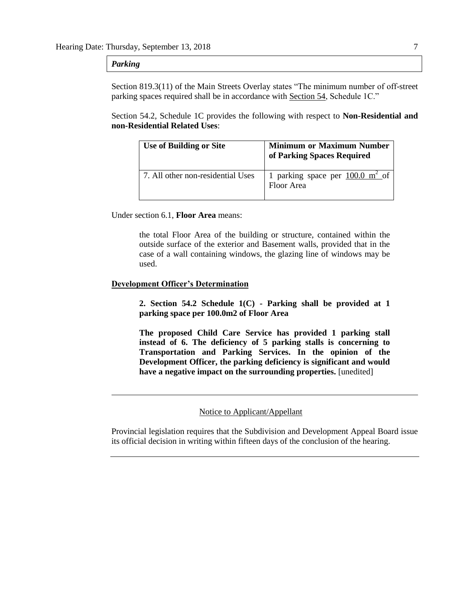## *Parking*

Section 819.3(11) of the Main Streets Overlay states "The minimum number of off-street parking spaces required shall be in accordance with Section 54, Schedule 1C."

Section 54.2, Schedule 1C provides the following with respect to **Non-Residential and non-Residential Related Uses**:

| Use of Building or Site           | <b>Minimum or Maximum Number</b><br>of Parking Spaces Required |
|-----------------------------------|----------------------------------------------------------------|
| 7. All other non-residential Uses | 1 parking space per $100.0 \text{ m}^2$ of<br>Floor Area       |

Under section 6.1, **Floor Area** means:

the total Floor Area of the building or structure, contained within the outside surface of the exterior and Basement walls, provided that in the case of a wall containing windows, the glazing line of windows may be used.

### **Development Officer's Determination**

**2. Section 54.2 Schedule 1(C) - Parking shall be provided at 1 parking space per 100.0m2 of Floor Area**

**The proposed Child Care Service has provided 1 parking stall instead of 6. The deficiency of 5 parking stalls is concerning to Transportation and Parking Services. In the opinion of the Development Officer, the parking deficiency is significant and would have a negative impact on the surrounding properties.** [unedited]

### Notice to Applicant/Appellant

Provincial legislation requires that the Subdivision and Development Appeal Board issue its official decision in writing within fifteen days of the conclusion of the hearing.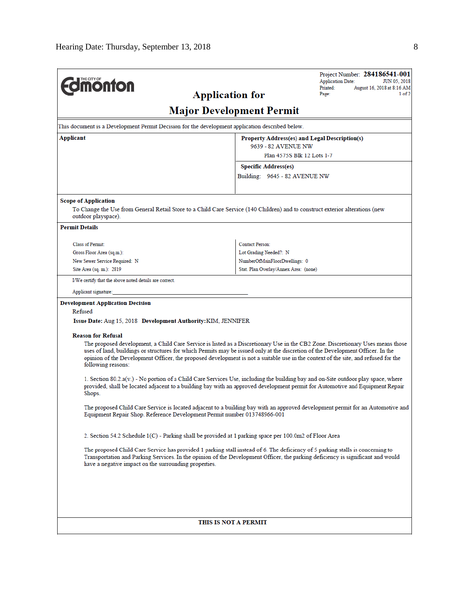|                                                                                                                                                                                                                                                                                                                                                                                                                                |                                                                                                                                                                                                             | Project Number: 284186541-001<br>JUN 05, 2018<br><b>Application Date:</b> |  |  |  |
|--------------------------------------------------------------------------------------------------------------------------------------------------------------------------------------------------------------------------------------------------------------------------------------------------------------------------------------------------------------------------------------------------------------------------------|-------------------------------------------------------------------------------------------------------------------------------------------------------------------------------------------------------------|---------------------------------------------------------------------------|--|--|--|
| <b><i><u><b>MONTON</b></u></i></b>                                                                                                                                                                                                                                                                                                                                                                                             |                                                                                                                                                                                                             | Printed:<br>August 16, 2018 at 8:16 AM<br>1 of 2<br>Page:                 |  |  |  |
| <b>Application for</b>                                                                                                                                                                                                                                                                                                                                                                                                         |                                                                                                                                                                                                             |                                                                           |  |  |  |
|                                                                                                                                                                                                                                                                                                                                                                                                                                | <b>Major Development Permit</b>                                                                                                                                                                             |                                                                           |  |  |  |
| This document is a Development Permit Decision for the development application described below.                                                                                                                                                                                                                                                                                                                                |                                                                                                                                                                                                             |                                                                           |  |  |  |
| Applicant                                                                                                                                                                                                                                                                                                                                                                                                                      | Property Address(es) and Legal Description(s)                                                                                                                                                               |                                                                           |  |  |  |
|                                                                                                                                                                                                                                                                                                                                                                                                                                | 9639 - 82 AVENUE NW                                                                                                                                                                                         |                                                                           |  |  |  |
|                                                                                                                                                                                                                                                                                                                                                                                                                                | Plan 4575S Blk 12 Lots 1-7                                                                                                                                                                                  |                                                                           |  |  |  |
|                                                                                                                                                                                                                                                                                                                                                                                                                                | <b>Specific Address(es)</b>                                                                                                                                                                                 |                                                                           |  |  |  |
|                                                                                                                                                                                                                                                                                                                                                                                                                                | Building: 9645 - 82 AVENUE NW                                                                                                                                                                               |                                                                           |  |  |  |
| <b>Scope of Application</b>                                                                                                                                                                                                                                                                                                                                                                                                    |                                                                                                                                                                                                             |                                                                           |  |  |  |
| To Change the Use from General Retail Store to a Child Care Service (140 Children) and to construct exterior alterations (new<br>outdoor playspace).                                                                                                                                                                                                                                                                           |                                                                                                                                                                                                             |                                                                           |  |  |  |
| <b>Permit Details</b>                                                                                                                                                                                                                                                                                                                                                                                                          |                                                                                                                                                                                                             |                                                                           |  |  |  |
| <b>Class of Permit:</b>                                                                                                                                                                                                                                                                                                                                                                                                        | <b>Contact Person:</b>                                                                                                                                                                                      |                                                                           |  |  |  |
| Gross Floor Area (sq.m.):                                                                                                                                                                                                                                                                                                                                                                                                      | Lot Grading Needed?: N                                                                                                                                                                                      |                                                                           |  |  |  |
| New Sewer Service Required: N                                                                                                                                                                                                                                                                                                                                                                                                  | NumberOfMainFloorDwellings: 0                                                                                                                                                                               |                                                                           |  |  |  |
| Site Area (sq. m.): 2819                                                                                                                                                                                                                                                                                                                                                                                                       | Stat. Plan Overlay/Annex Area: (none)                                                                                                                                                                       |                                                                           |  |  |  |
| I/We certify that the above noted details are correct.                                                                                                                                                                                                                                                                                                                                                                         |                                                                                                                                                                                                             |                                                                           |  |  |  |
| Applicant signature:                                                                                                                                                                                                                                                                                                                                                                                                           |                                                                                                                                                                                                             |                                                                           |  |  |  |
| <b>Development Application Decision</b>                                                                                                                                                                                                                                                                                                                                                                                        |                                                                                                                                                                                                             |                                                                           |  |  |  |
| Refused                                                                                                                                                                                                                                                                                                                                                                                                                        |                                                                                                                                                                                                             |                                                                           |  |  |  |
| Issue Date: Aug 15, 2018 Development Authority: KIM, JENNIFER                                                                                                                                                                                                                                                                                                                                                                  |                                                                                                                                                                                                             |                                                                           |  |  |  |
| <b>Reason for Refusal</b>                                                                                                                                                                                                                                                                                                                                                                                                      |                                                                                                                                                                                                             |                                                                           |  |  |  |
| The proposed development, a Child Care Service is listed as a Discretionary Use in the CB2 Zone. Discretionary Uses means those<br>uses of land, buildings or structures for which Permits may be issued only at the discretion of the Development Officer. In the<br>opinion of the Development Officer, the proposed development is not a suitable use in the context of the site, and refused for the<br>following reasons: |                                                                                                                                                                                                             |                                                                           |  |  |  |
| 1. Section $80.2.a(v)$ - No portion of a Child Care Services Use, including the building bay and on-Site outdoor play space, where<br>provided, shall be located adjacent to a building bay with an approved development permit for Automotive and Equipment Repair<br>Shops.                                                                                                                                                  |                                                                                                                                                                                                             |                                                                           |  |  |  |
|                                                                                                                                                                                                                                                                                                                                                                                                                                | The proposed Child Care Service is located adjacent to a building bay with an approved development permit for an Automotive and<br>Equipment Repair Shop. Reference Development Permit number 013748966-001 |                                                                           |  |  |  |
| 2. Section 54.2 Schedule 1(C) - Parking shall be provided at 1 parking space per 100.0m2 of Floor Area                                                                                                                                                                                                                                                                                                                         |                                                                                                                                                                                                             |                                                                           |  |  |  |
| The proposed Child Care Service has provided 1 parking stall instead of 6. The deficiency of 5 parking stalls is concerning to<br>Transportation and Parking Services. In the opinion of the Development Officer, the parking deficiency is significant and would<br>have a negative impact on the surrounding properties.                                                                                                     |                                                                                                                                                                                                             |                                                                           |  |  |  |
|                                                                                                                                                                                                                                                                                                                                                                                                                                |                                                                                                                                                                                                             |                                                                           |  |  |  |
|                                                                                                                                                                                                                                                                                                                                                                                                                                |                                                                                                                                                                                                             |                                                                           |  |  |  |
|                                                                                                                                                                                                                                                                                                                                                                                                                                |                                                                                                                                                                                                             |                                                                           |  |  |  |
|                                                                                                                                                                                                                                                                                                                                                                                                                                |                                                                                                                                                                                                             |                                                                           |  |  |  |
|                                                                                                                                                                                                                                                                                                                                                                                                                                | THIS IS NOT A PERMIT                                                                                                                                                                                        |                                                                           |  |  |  |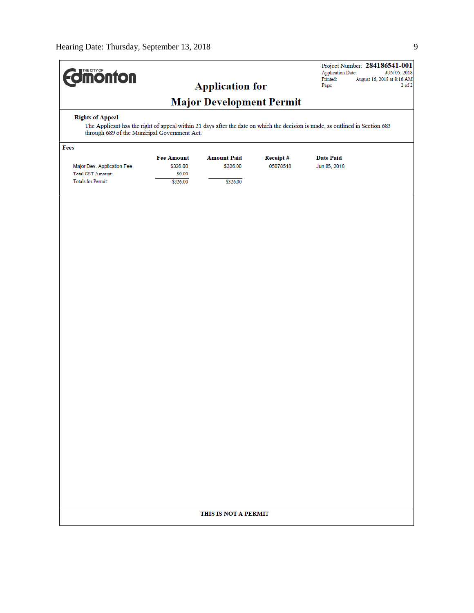| <b>difficultion</b>                                                                 |                                                                                                                                                                               | <b>Application for</b>                     |                      | <b>Application Date:</b><br>Printed:<br>Page: | Project Number: 284186541-001<br>JUN 05, 2018<br>August 16, 2018 at 8:16 AM<br>2 of 2 |  |  |  |
|-------------------------------------------------------------------------------------|-------------------------------------------------------------------------------------------------------------------------------------------------------------------------------|--------------------------------------------|----------------------|-----------------------------------------------|---------------------------------------------------------------------------------------|--|--|--|
|                                                                                     |                                                                                                                                                                               | <b>Major Development Permit</b>            |                      |                                               |                                                                                       |  |  |  |
| <b>Rights of Appeal</b>                                                             | The Applicant has the right of appeal within 21 days after the date on which the decision is made, as outlined in Section 683<br>through 689 of the Municipal Government Act. |                                            |                      |                                               |                                                                                       |  |  |  |
| Fees                                                                                |                                                                                                                                                                               |                                            |                      |                                               |                                                                                       |  |  |  |
| Major Dev. Application Fee<br><b>Total GST Amount:</b><br><b>Totals for Permit:</b> | <b>Fee Amount</b><br>\$326.00<br>\$0.00<br>\$326.00                                                                                                                           | <b>Amount Paid</b><br>\$326.00<br>\$326.00 | Receipt#<br>05078518 | <b>Date Paid</b><br>Jun 05, 2018              |                                                                                       |  |  |  |
|                                                                                     |                                                                                                                                                                               |                                            |                      |                                               |                                                                                       |  |  |  |
|                                                                                     |                                                                                                                                                                               | THIS IS NOT A PERMIT                       |                      |                                               |                                                                                       |  |  |  |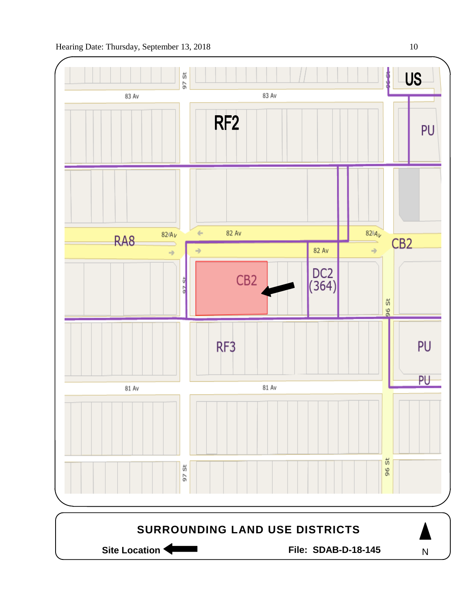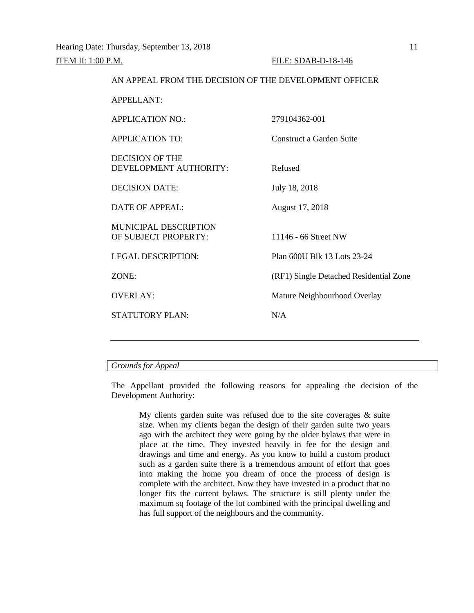| AN APPEAL FROM THE DECISION OF THE DEVELOPMENT OFFICER |                                        |  |  |  |  |
|--------------------------------------------------------|----------------------------------------|--|--|--|--|
| <b>APPELLANT:</b>                                      |                                        |  |  |  |  |
| APPLICATION NO.:                                       | 279104362-001                          |  |  |  |  |
| <b>APPLICATION TO:</b>                                 | Construct a Garden Suite               |  |  |  |  |
| DECISION OF THE<br>DEVELOPMENT AUTHORITY:              | Refused                                |  |  |  |  |
| DECISION DATE:                                         | July 18, 2018                          |  |  |  |  |
| DATE OF APPEAL:                                        | August 17, 2018                        |  |  |  |  |
| <b>MUNICIPAL DESCRIPTION</b><br>OF SUBJECT PROPERTY:   | 11146 - 66 Street NW                   |  |  |  |  |
| LEGAL DESCRIPTION:                                     | Plan 600U Blk 13 Lots 23-24            |  |  |  |  |
| ZONE:                                                  | (RF1) Single Detached Residential Zone |  |  |  |  |
| <b>OVERLAY:</b>                                        | Mature Neighbourhood Overlay           |  |  |  |  |
| <b>STATUTORY PLAN:</b>                                 | N/A                                    |  |  |  |  |
|                                                        |                                        |  |  |  |  |

# AN APPEAL FROM THE DECISION OF THE DEVELOPMENT OFFICER

## *Grounds for Appeal*

The Appellant provided the following reasons for appealing the decision of the Development Authority:

My clients garden suite was refused due to the site coverages & suite size. When my clients began the design of their garden suite two years ago with the architect they were going by the older bylaws that were in place at the time. They invested heavily in fee for the design and drawings and time and energy. As you know to build a custom product such as a garden suite there is a tremendous amount of effort that goes into making the home you dream of once the process of design is complete with the architect. Now they have invested in a product that no longer fits the current bylaws. The structure is still plenty under the maximum sq footage of the lot combined with the principal dwelling and has full support of the neighbours and the community.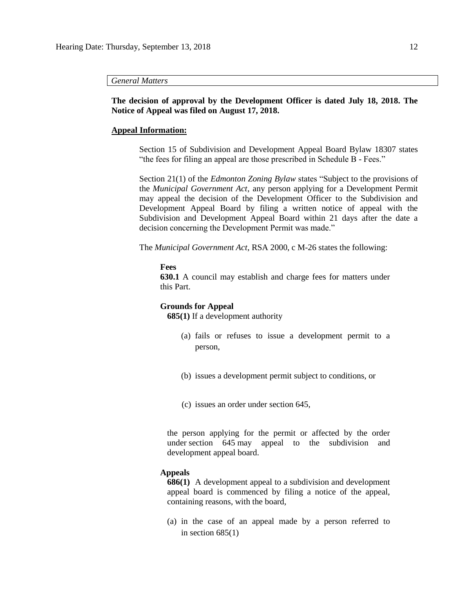### *General Matters*

**The decision of approval by the Development Officer is dated July 18, 2018. The Notice of Appeal was filed on August 17, 2018.** 

### **Appeal Information:**

Section 15 of Subdivision and Development Appeal Board Bylaw 18307 states "the fees for filing an appeal are those prescribed in Schedule B - Fees."

Section 21(1) of the *Edmonton Zoning Bylaw* states "Subject to the provisions of the *Municipal Government Act*, any person applying for a Development Permit may appeal the decision of the Development Officer to the Subdivision and Development Appeal Board by filing a written notice of appeal with the Subdivision and Development Appeal Board within 21 days after the date a decision concerning the Development Permit was made."

The *Municipal Government Act*, RSA 2000, c M-26 states the following:

### **Fees**

**630.1** A council may establish and charge fees for matters under this Part.

### **Grounds for Appeal**

**685(1)** If a development authority

- (a) fails or refuses to issue a development permit to a person,
- (b) issues a development permit subject to conditions, or
- (c) issues an order under section 645,

the person applying for the permit or affected by the order under section 645 may appeal to the subdivision and development appeal board.

### **Appeals**

**686(1)** A development appeal to a subdivision and development appeal board is commenced by filing a notice of the appeal, containing reasons, with the board,

(a) in the case of an appeal made by a person referred to in section  $685(1)$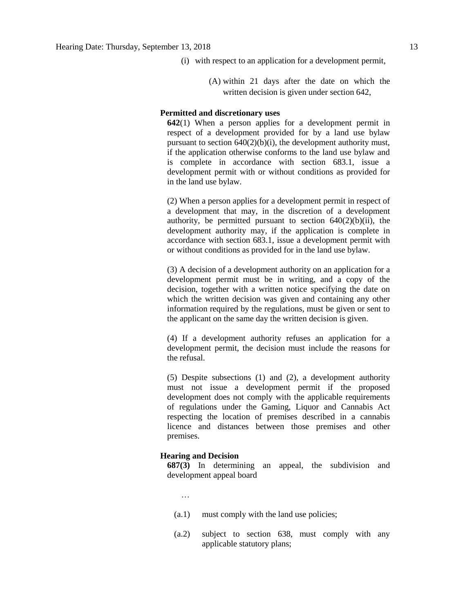- (i) with respect to an application for a development permit,
	- (A) within 21 days after the date on which the written decision is given under section 642,

## **Permitted and discretionary uses**

**642**(1) When a person applies for a development permit in respect of a development provided for by a land use bylaw pursuant to section  $640(2)(b)(i)$ , the development authority must, if the application otherwise conforms to the land use bylaw and is complete in accordance with section 683.1, issue a development permit with or without conditions as provided for in the land use bylaw.

(2) When a person applies for a development permit in respect of a development that may, in the discretion of a development authority, be permitted pursuant to section  $640(2)(b)(ii)$ , the development authority may, if the application is complete in accordance with section 683.1, issue a development permit with or without conditions as provided for in the land use bylaw.

(3) A decision of a development authority on an application for a development permit must be in writing, and a copy of the decision, together with a written notice specifying the date on which the written decision was given and containing any other information required by the regulations, must be given or sent to the applicant on the same day the written decision is given.

(4) If a development authority refuses an application for a development permit, the decision must include the reasons for the refusal.

(5) Despite subsections (1) and (2), a development authority must not issue a development permit if the proposed development does not comply with the applicable requirements of regulations under the Gaming, Liquor and Cannabis Act respecting the location of premises described in a cannabis licence and distances between those premises and other premises.

### **Hearing and Decision**

**687(3)** In determining an appeal, the subdivision and development appeal board

- …
- (a.1) must comply with the land use policies;
- (a.2) subject to section 638, must comply with any applicable statutory plans;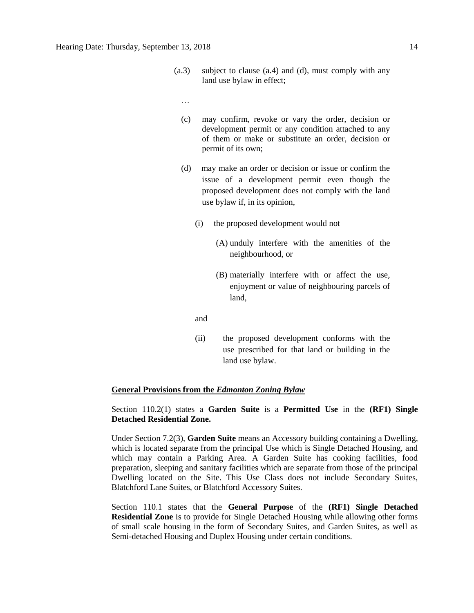- (a.3) subject to clause (a.4) and (d), must comply with any land use bylaw in effect;
	- …
	- (c) may confirm, revoke or vary the order, decision or development permit or any condition attached to any of them or make or substitute an order, decision or permit of its own;
	- (d) may make an order or decision or issue or confirm the issue of a development permit even though the proposed development does not comply with the land use bylaw if, in its opinion,
		- (i) the proposed development would not
			- (A) unduly interfere with the amenities of the neighbourhood, or
			- (B) materially interfere with or affect the use, enjoyment or value of neighbouring parcels of land,
		- and
		- (ii) the proposed development conforms with the use prescribed for that land or building in the land use bylaw.

### **General Provisions from the** *Edmonton Zoning Bylaw*

## Section 110.2(1) states a **Garden Suite** is a **Permitted Use** in the **(RF1) Single Detached Residential Zone.**

Under Section 7.2(3), **Garden Suite** means an Accessory building containing a Dwelling, which is located separate from the principal Use which is Single Detached Housing, and which may contain a Parking Area. A Garden Suite has cooking facilities, food preparation, sleeping and sanitary facilities which are separate from those of the principal Dwelling located on the Site. This Use Class does not include Secondary Suites, Blatchford Lane Suites, or Blatchford Accessory Suites.

Section 110.1 states that the **General Purpose** of the **(RF1) Single Detached Residential Zone** is to provide for Single Detached Housing while allowing other forms of small scale housing in the form of Secondary Suites, and Garden Suites, as well as Semi-detached Housing and Duplex Housing under certain conditions.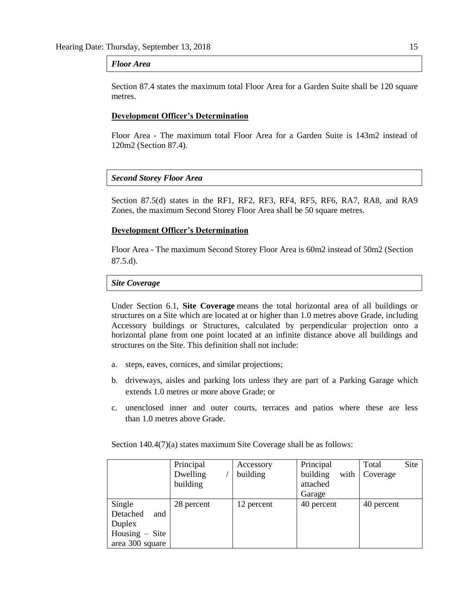### *Floor Area*

Section 87.4 states the maximum total Floor Area for a Garden Suite shall be 120 square metres.

### **Development Officer's Determination**

Floor Area - The maximum total Floor Area for a Garden Suite is 143m2 instead of 120m2 (Section 87.4).

### *Second Storey Floor Area*

Section 87.5(d) states in the RF1, RF2, RF3, RF4, RF5, RF6, RA7, RA8, and RA9 Zones, the maximum Second Storey Floor Area shall be 50 square metres.

### **Development Officer's Determination**

Floor Area - The maximum Second Storey Floor Area is 60m2 instead of 50m2 (Section 87.5.d).

### *Site Coverage*

Under Section 6.1, **Site Coverage** means the total horizontal area of all buildings or structures on a Site which are located at or higher than 1.0 metres above Grade, including Accessory buildings or Structures, calculated by perpendicular projection onto a horizontal plane from one point located at an infinite distance above all buildings and structures on the Site. This definition shall not include:

- a. steps, eaves, cornices, and similar projections;
- b. driveways, aisles and parking lots unless they are part of a Parking Garage which extends [1.0](javascript:void(0);) metres or more above Grade; or
- c. unenclosed inner and outer courts, terraces and patios where these are less than [1.0](javascript:void(0);) metres above Grade.

Section 140.4(7)(a) states maximum Site Coverage shall be as follows:

|                  | Principal  | Accessory  | Principal        | Site<br>Total |
|------------------|------------|------------|------------------|---------------|
|                  | Dwelling   | building   | building<br>with | Coverage      |
|                  | building   |            | attached         |               |
|                  |            |            | Garage           |               |
| Single           | 28 percent | 12 percent | 40 percent       | 40 percent    |
| Detached<br>and  |            |            |                  |               |
| Duplex           |            |            |                  |               |
| Housing $-$ Site |            |            |                  |               |
| area 300 square  |            |            |                  |               |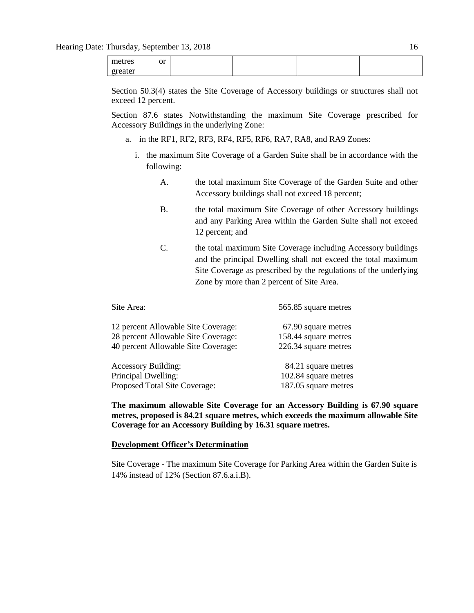| metres  | or |  |  |
|---------|----|--|--|
| greater |    |  |  |

Section 50.3(4) states the Site Coverage of Accessory buildings or structures shall not exceed 12 percent.

Section 87.6 states Notwithstanding the maximum Site Coverage prescribed for Accessory Buildings in the underlying Zone:

- a. in the [RF1,](javascript:BSSCPopup() [RF2,](javascript:BSSCPopup() [RF3,](javascript:BSSCPopup() [RF4,](javascript:BSSCPopup() [RF5,](javascript:BSSCPopup() [RF6,](javascript:BSSCPopup() [RA7,](javascript:BSSCPopup() [RA8,](javascript:BSSCPopup() and [RA9](javascript:BSSCPopup() Zones:
	- i. the maximum Site Coverage of a Garden Suite shall be in accordance with the following:
		- A. the total maximum Site Coverage of the Garden Suite and other Accessory buildings shall not exceed 18 percent;
		- B. the total maximum Site Coverage of other Accessory buildings and any Parking Area within the Garden Suite shall not exceed 12 percent; and
		- C. the total maximum Site Coverage including Accessory buildings and the principal Dwelling shall not exceed the total maximum Site Coverage as prescribed by the regulations of the underlying Zone by more than 2 percent of Site Area.

| Site Area:                          | 565.85 square metres |
|-------------------------------------|----------------------|
| 12 percent Allowable Site Coverage: | 67.90 square metres  |
| 28 percent Allowable Site Coverage: | 158.44 square metres |
| 40 percent Allowable Site Coverage: | 226.34 square metres |
| <b>Accessory Building:</b>          | 84.21 square metres  |
| Principal Dwelling:                 | 102.84 square metres |
| Proposed Total Site Coverage:       | 187.05 square metres |

**The maximum allowable Site Coverage for an Accessory Building is 67.90 square metres, proposed is 84.21 square metres, which exceeds the maximum allowable Site Coverage for an Accessory Building by 16.31 square metres.**

### **Development Officer's Determination**

Site Coverage - The maximum Site Coverage for Parking Area within the Garden Suite is 14% instead of 12% (Section 87.6.a.i.B).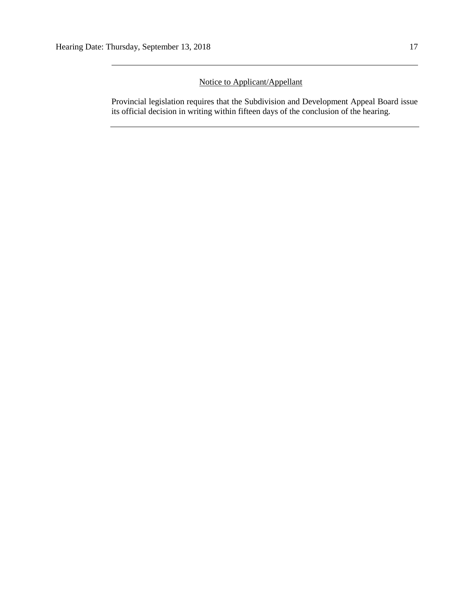# Notice to Applicant/Appellant

Provincial legislation requires that the Subdivision and Development Appeal Board issue its official decision in writing within fifteen days of the conclusion of the hearing.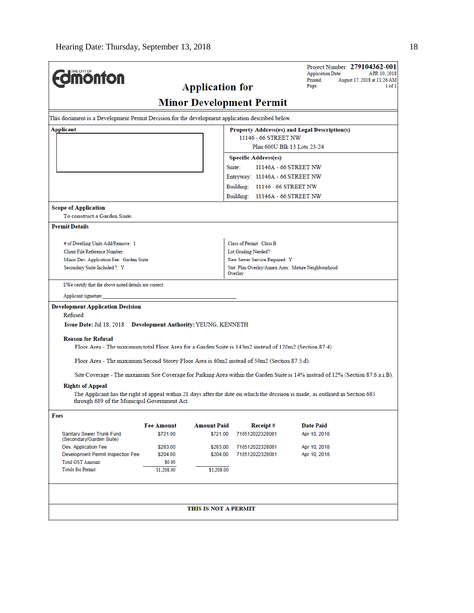|                                                                                                                                                                               |                    |                                 |                                                     |                               | <b>Application Date:</b>                      | Project Number: 279104362-001<br>APR 10, 2018 |
|-------------------------------------------------------------------------------------------------------------------------------------------------------------------------------|--------------------|---------------------------------|-----------------------------------------------------|-------------------------------|-----------------------------------------------|-----------------------------------------------|
| <b><i><u><u><b>MONTON</b></u></u></i></b>                                                                                                                                     |                    |                                 |                                                     |                               | Printed:<br>Page:                             | August 17, 2018 at 11:26 AM                   |
| <b>Application for</b>                                                                                                                                                        |                    |                                 |                                                     |                               |                                               | 1 of 1                                        |
|                                                                                                                                                                               |                    | <b>Minor Development Permit</b> |                                                     |                               |                                               |                                               |
| This document is a Development Permit Decision for the development application described below.                                                                               |                    |                                 |                                                     |                               |                                               |                                               |
| Applicant                                                                                                                                                                     |                    |                                 |                                                     |                               | Property Address(es) and Legal Description(s) |                                               |
|                                                                                                                                                                               |                    |                                 |                                                     | 11146 - 66 STREET NW          |                                               |                                               |
|                                                                                                                                                                               |                    |                                 |                                                     |                               | Plan 600U Blk 13 Lots 23-24                   |                                               |
|                                                                                                                                                                               |                    |                                 |                                                     | <b>Specific Address(es)</b>   |                                               |                                               |
|                                                                                                                                                                               |                    |                                 | Suite:                                              |                               | 11146A - 66 STREET NW                         |                                               |
|                                                                                                                                                                               |                    |                                 |                                                     |                               | Entryway: 11146A - 66 STREET NW               |                                               |
|                                                                                                                                                                               |                    |                                 |                                                     |                               | Building: 11146 - 66 STREET NW                |                                               |
|                                                                                                                                                                               |                    |                                 |                                                     |                               | Building: 11146A - 66 STREET NW               |                                               |
| <b>Scope of Application</b>                                                                                                                                                   |                    |                                 |                                                     |                               |                                               |                                               |
| To construct a Garden Suite.                                                                                                                                                  |                    |                                 |                                                     |                               |                                               |                                               |
| <b>Permit Details</b>                                                                                                                                                         |                    |                                 |                                                     |                               |                                               |                                               |
| # of Dwelling Units Add/Remove: 1                                                                                                                                             |                    |                                 |                                                     | Class of Permit: Class B      |                                               |                                               |
| Client File Reference Number:                                                                                                                                                 |                    |                                 | Lot Grading Needed?:                                |                               |                                               |                                               |
| Minor Dev. Application Fee: Garden Suite                                                                                                                                      |                    |                                 |                                                     | New Sewer Service Required: Y |                                               |                                               |
| Secondary Suite Included ?: Y                                                                                                                                                 |                    |                                 | Stat. Plan Overlay/Annex Area: Mature Neighbourhood |                               |                                               |                                               |
|                                                                                                                                                                               |                    |                                 | Overlay                                             |                               |                                               |                                               |
| I/We certify that the above noted details are correct.                                                                                                                        |                    |                                 |                                                     |                               |                                               |                                               |
| Applicant signature:                                                                                                                                                          |                    |                                 |                                                     |                               |                                               |                                               |
| <b>Development Application Decision</b>                                                                                                                                       |                    |                                 |                                                     |                               |                                               |                                               |
| Refused                                                                                                                                                                       |                    |                                 |                                                     |                               |                                               |                                               |
| Issue Date: Jul 18, 2018 Development Authority: YEUNG, KENNETH                                                                                                                |                    |                                 |                                                     |                               |                                               |                                               |
| <b>Reason for Refusal</b>                                                                                                                                                     |                    |                                 |                                                     |                               |                                               |                                               |
| Floor Area - The maximum total Floor Area for a Garden Suite is 143m2 instead of 120m2 (Section 87.4).                                                                        |                    |                                 |                                                     |                               |                                               |                                               |
|                                                                                                                                                                               |                    |                                 |                                                     |                               |                                               |                                               |
| Floor Area - The maximum Second Storey Floor Area is 60m2 instead of 50m2 (Section 87.5.d).                                                                                   |                    |                                 |                                                     |                               |                                               |                                               |
| Site Coverage - The maximum Site Coverage for Parking Area within the Garden Suite is 14% instead of 12% (Section 87.6.a.i.B).                                                |                    |                                 |                                                     |                               |                                               |                                               |
| <b>Rights of Appeal</b>                                                                                                                                                       |                    |                                 |                                                     |                               |                                               |                                               |
| The Applicant has the right of appeal within 21 days after the date on which the decision is made, as outlined in Section 683<br>through 689 of the Municipal Government Act. |                    |                                 |                                                     |                               |                                               |                                               |
| Fees                                                                                                                                                                          |                    |                                 |                                                     |                               |                                               |                                               |
|                                                                                                                                                                               | <b>Fee Amount</b>  | <b>Amount Paid</b>              |                                                     | Receipt#                      | <b>Date Paid</b>                              |                                               |
| Sanitary Sewer Trunk Fund<br>(Secondary/Garden Suite)                                                                                                                         | \$721.00           | \$721.00                        |                                                     | 718512022328001               | Apr 10, 2018                                  |                                               |
| Dev. Application Fee                                                                                                                                                          | \$283.00           | \$283.00                        |                                                     | 718512022328001               | Apr 10, 2018                                  |                                               |
| Development Permit Inspection Fee<br><b>Total GST Amount:</b>                                                                                                                 | \$204.00<br>\$0.00 | \$204.00                        |                                                     | 718512022328001               | Apr 10, 2018                                  |                                               |
| <b>Totals for Permit:</b>                                                                                                                                                     | \$1,208.00         | \$1,208.00                      |                                                     |                               |                                               |                                               |
|                                                                                                                                                                               |                    |                                 |                                                     |                               |                                               |                                               |
|                                                                                                                                                                               |                    |                                 |                                                     |                               |                                               |                                               |
|                                                                                                                                                                               |                    |                                 |                                                     |                               |                                               |                                               |
|                                                                                                                                                                               |                    | THIS IS NOT A PERMIT            |                                                     |                               |                                               |                                               |
|                                                                                                                                                                               |                    |                                 |                                                     |                               |                                               |                                               |